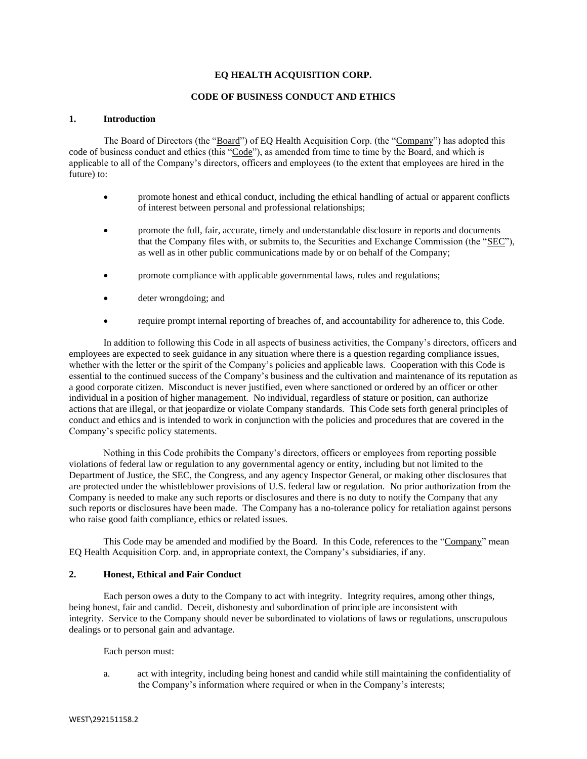### **EQ HEALTH ACQUISITION CORP.**

## **CODE OF BUSINESS CONDUCT AND ETHICS**

### **1. Introduction**

The Board of Directors (the "Board") of EQ Health Acquisition Corp. (the "Company") has adopted this code of business conduct and ethics (this "Code"), as amended from time to time by the Board, and which is applicable to all of the Company's directors, officers and employees (to the extent that employees are hired in the future) to:

- promote honest and ethical conduct, including the ethical handling of actual or apparent conflicts of interest between personal and professional relationships;
- promote the full, fair, accurate, timely and understandable disclosure in reports and documents that the Company files with, or submits to, the Securities and Exchange Commission (the "SEC"), as well as in other public communications made by or on behalf of the Company;
- promote compliance with applicable governmental laws, rules and regulations;
- deter wrongdoing; and
- require prompt internal reporting of breaches of, and accountability for adherence to, this Code.

In addition to following this Code in all aspects of business activities, the Company's directors, officers and employees are expected to seek guidance in any situation where there is a question regarding compliance issues, whether with the letter or the spirit of the Company's policies and applicable laws. Cooperation with this Code is essential to the continued success of the Company's business and the cultivation and maintenance of its reputation as a good corporate citizen. Misconduct is never justified, even where sanctioned or ordered by an officer or other individual in a position of higher management. No individual, regardless of stature or position, can authorize actions that are illegal, or that jeopardize or violate Company standards. This Code sets forth general principles of conduct and ethics and is intended to work in conjunction with the policies and procedures that are covered in the Company's specific policy statements.

Nothing in this Code prohibits the Company's directors, officers or employees from reporting possible violations of federal law or regulation to any governmental agency or entity, including but not limited to the Department of Justice, the SEC, the Congress, and any agency Inspector General, or making other disclosures that are protected under the whistleblower provisions of U.S. federal law or regulation. No prior authorization from the Company is needed to make any such reports or disclosures and there is no duty to notify the Company that any such reports or disclosures have been made. The Company has a no-tolerance policy for retaliation against persons who raise good faith compliance, ethics or related issues.

This Code may be amended and modified by the Board. In this Code, references to the "Company" mean EQ Health Acquisition Corp. and, in appropriate context, the Company's subsidiaries, if any.

### **2. Honest, Ethical and Fair Conduct**

Each person owes a duty to the Company to act with integrity. Integrity requires, among other things, being honest, fair and candid. Deceit, dishonesty and subordination of principle are inconsistent with integrity. Service to the Company should never be subordinated to violations of laws or regulations, unscrupulous dealings or to personal gain and advantage.

Each person must:

a. act with integrity, including being honest and candid while still maintaining the confidentiality of the Company's information where required or when in the Company's interests;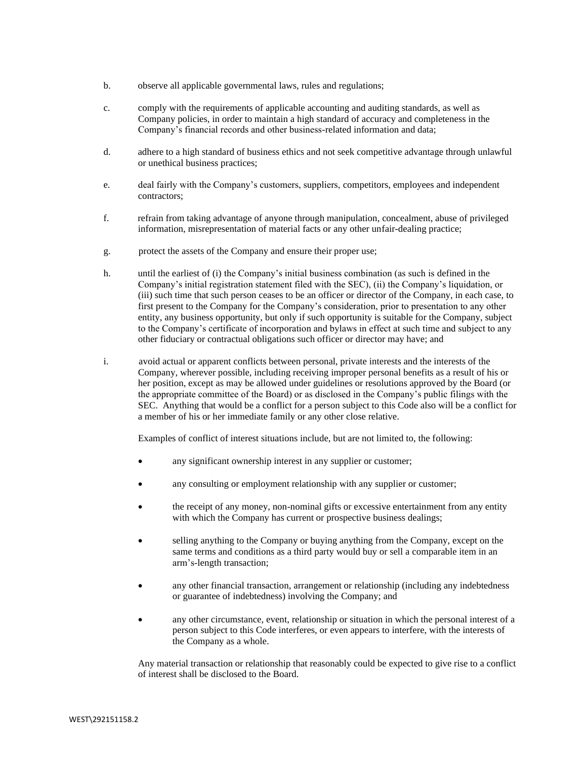- b. observe all applicable governmental laws, rules and regulations;
- c. comply with the requirements of applicable accounting and auditing standards, as well as Company policies, in order to maintain a high standard of accuracy and completeness in the Company's financial records and other business-related information and data;
- d. adhere to a high standard of business ethics and not seek competitive advantage through unlawful or unethical business practices;
- e. deal fairly with the Company's customers, suppliers, competitors, employees and independent contractors;
- f. refrain from taking advantage of anyone through manipulation, concealment, abuse of privileged information, misrepresentation of material facts or any other unfair-dealing practice;
- g. protect the assets of the Company and ensure their proper use;
- h. until the earliest of (i) the Company's initial business combination (as such is defined in the Company's initial registration statement filed with the SEC), (ii) the Company's liquidation, or (iii) such time that such person ceases to be an officer or director of the Company, in each case, to first present to the Company for the Company's consideration, prior to presentation to any other entity, any business opportunity, but only if such opportunity is suitable for the Company, subject to the Company's certificate of incorporation and bylaws in effect at such time and subject to any other fiduciary or contractual obligations such officer or director may have; and
- i. avoid actual or apparent conflicts between personal, private interests and the interests of the Company, wherever possible, including receiving improper personal benefits as a result of his or her position, except as may be allowed under guidelines or resolutions approved by the Board (or the appropriate committee of the Board) or as disclosed in the Company's public filings with the SEC. Anything that would be a conflict for a person subject to this Code also will be a conflict for a member of his or her immediate family or any other close relative.

Examples of conflict of interest situations include, but are not limited to, the following:

- any significant ownership interest in any supplier or customer;
- any consulting or employment relationship with any supplier or customer;
- the receipt of any money, non-nominal gifts or excessive entertainment from any entity with which the Company has current or prospective business dealings;
- selling anything to the Company or buying anything from the Company, except on the same terms and conditions as a third party would buy or sell a comparable item in an arm's-length transaction;
- any other financial transaction, arrangement or relationship (including any indebtedness or guarantee of indebtedness) involving the Company; and
- any other circumstance, event, relationship or situation in which the personal interest of a person subject to this Code interferes, or even appears to interfere, with the interests of the Company as a whole.

Any material transaction or relationship that reasonably could be expected to give rise to a conflict of interest shall be disclosed to the Board.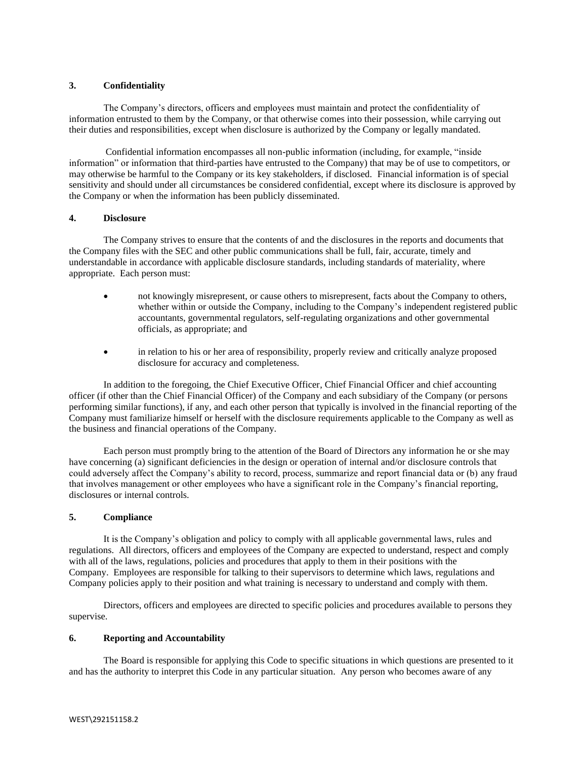## **3. Confidentiality**

The Company's directors, officers and employees must maintain and protect the confidentiality of information entrusted to them by the Company, or that otherwise comes into their possession, while carrying out their duties and responsibilities, except when disclosure is authorized by the Company or legally mandated.

Confidential information encompasses all non-public information (including, for example, "inside information" or information that third-parties have entrusted to the Company) that may be of use to competitors, or may otherwise be harmful to the Company or its key stakeholders, if disclosed. Financial information is of special sensitivity and should under all circumstances be considered confidential, except where its disclosure is approved by the Company or when the information has been publicly disseminated.

## **4. Disclosure**

The Company strives to ensure that the contents of and the disclosures in the reports and documents that the Company files with the SEC and other public communications shall be full, fair, accurate, timely and understandable in accordance with applicable disclosure standards, including standards of materiality, where appropriate. Each person must:

- not knowingly misrepresent, or cause others to misrepresent, facts about the Company to others, whether within or outside the Company, including to the Company's independent registered public accountants, governmental regulators, self-regulating organizations and other governmental officials, as appropriate; and
- in relation to his or her area of responsibility, properly review and critically analyze proposed disclosure for accuracy and completeness.

In addition to the foregoing, the Chief Executive Officer, Chief Financial Officer and chief accounting officer (if other than the Chief Financial Officer) of the Company and each subsidiary of the Company (or persons performing similar functions), if any, and each other person that typically is involved in the financial reporting of the Company must familiarize himself or herself with the disclosure requirements applicable to the Company as well as the business and financial operations of the Company.

Each person must promptly bring to the attention of the Board of Directors any information he or she may have concerning (a) significant deficiencies in the design or operation of internal and/or disclosure controls that could adversely affect the Company's ability to record, process, summarize and report financial data or (b) any fraud that involves management or other employees who have a significant role in the Company's financial reporting, disclosures or internal controls.

# **5. Compliance**

It is the Company's obligation and policy to comply with all applicable governmental laws, rules and regulations. All directors, officers and employees of the Company are expected to understand, respect and comply with all of the laws, regulations, policies and procedures that apply to them in their positions with the Company. Employees are responsible for talking to their supervisors to determine which laws, regulations and Company policies apply to their position and what training is necessary to understand and comply with them.

Directors, officers and employees are directed to specific policies and procedures available to persons they supervise.

# **6. Reporting and Accountability**

The Board is responsible for applying this Code to specific situations in which questions are presented to it and has the authority to interpret this Code in any particular situation. Any person who becomes aware of any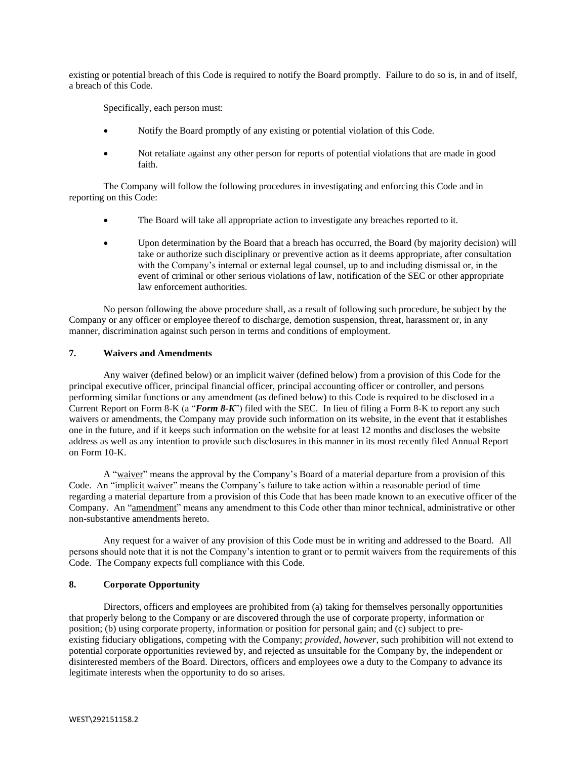existing or potential breach of this Code is required to notify the Board promptly. Failure to do so is, in and of itself, a breach of this Code.

Specifically, each person must:

- Notify the Board promptly of any existing or potential violation of this Code.
- Not retaliate against any other person for reports of potential violations that are made in good faith.

The Company will follow the following procedures in investigating and enforcing this Code and in reporting on this Code:

- The Board will take all appropriate action to investigate any breaches reported to it.
- Upon determination by the Board that a breach has occurred, the Board (by majority decision) will take or authorize such disciplinary or preventive action as it deems appropriate, after consultation with the Company's internal or external legal counsel, up to and including dismissal or, in the event of criminal or other serious violations of law, notification of the SEC or other appropriate law enforcement authorities.

No person following the above procedure shall, as a result of following such procedure, be subject by the Company or any officer or employee thereof to discharge, demotion suspension, threat, harassment or, in any manner, discrimination against such person in terms and conditions of employment.

# **7. Waivers and Amendments**

Any waiver (defined below) or an implicit waiver (defined below) from a provision of this Code for the principal executive officer, principal financial officer, principal accounting officer or controller, and persons performing similar functions or any amendment (as defined below) to this Code is required to be disclosed in a Current Report on Form 8-K (a "*Form 8-K*") filed with the SEC. In lieu of filing a Form 8-K to report any such waivers or amendments, the Company may provide such information on its website, in the event that it establishes one in the future, and if it keeps such information on the website for at least 12 months and discloses the website address as well as any intention to provide such disclosures in this manner in its most recently filed Annual Report on Form 10-K.

A "waiver" means the approval by the Company's Board of a material departure from a provision of this Code. An "implicit waiver" means the Company's failure to take action within a reasonable period of time regarding a material departure from a provision of this Code that has been made known to an executive officer of the Company. An "amendment" means any amendment to this Code other than minor technical, administrative or other non-substantive amendments hereto.

Any request for a waiver of any provision of this Code must be in writing and addressed to the Board. All persons should note that it is not the Company's intention to grant or to permit waivers from the requirements of this Code. The Company expects full compliance with this Code.

## **8. Corporate Opportunity**

Directors, officers and employees are prohibited from (a) taking for themselves personally opportunities that properly belong to the Company or are discovered through the use of corporate property, information or position; (b) using corporate property, information or position for personal gain; and (c) subject to preexisting fiduciary obligations, competing with the Company; *provided, however*, such prohibition will not extend to potential corporate opportunities reviewed by, and rejected as unsuitable for the Company by, the independent or disinterested members of the Board. Directors, officers and employees owe a duty to the Company to advance its legitimate interests when the opportunity to do so arises.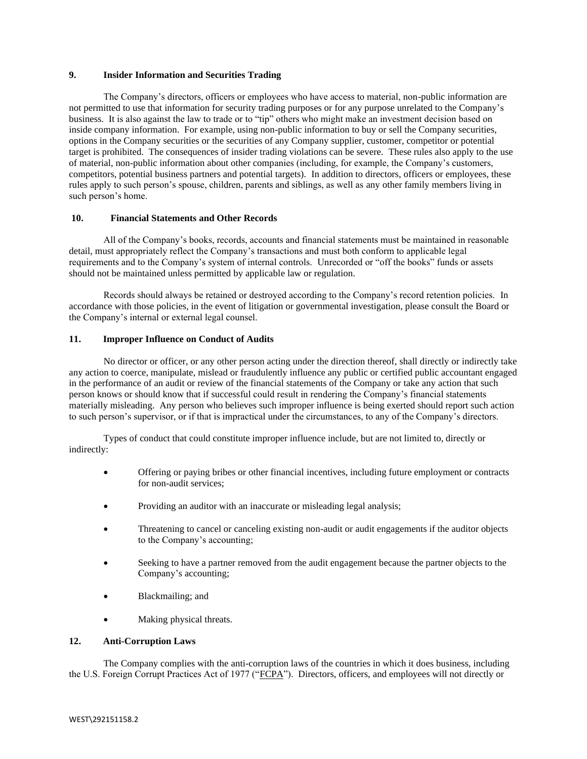### **9. Insider Information and Securities Trading**

The Company's directors, officers or employees who have access to material, non-public information are not permitted to use that information for security trading purposes or for any purpose unrelated to the Company's business. It is also against the law to trade or to "tip" others who might make an investment decision based on inside company information. For example, using non-public information to buy or sell the Company securities, options in the Company securities or the securities of any Company supplier, customer, competitor or potential target is prohibited. The consequences of insider trading violations can be severe. These rules also apply to the use of material, non-public information about other companies (including, for example, the Company's customers, competitors, potential business partners and potential targets). In addition to directors, officers or employees, these rules apply to such person's spouse, children, parents and siblings, as well as any other family members living in such person's home.

### **10. Financial Statements and Other Records**

All of the Company's books, records, accounts and financial statements must be maintained in reasonable detail, must appropriately reflect the Company's transactions and must both conform to applicable legal requirements and to the Company's system of internal controls. Unrecorded or "off the books" funds or assets should not be maintained unless permitted by applicable law or regulation.

Records should always be retained or destroyed according to the Company's record retention policies. In accordance with those policies, in the event of litigation or governmental investigation, please consult the Board or the Company's internal or external legal counsel.

#### **11. Improper Influence on Conduct of Audits**

No director or officer, or any other person acting under the direction thereof, shall directly or indirectly take any action to coerce, manipulate, mislead or fraudulently influence any public or certified public accountant engaged in the performance of an audit or review of the financial statements of the Company or take any action that such person knows or should know that if successful could result in rendering the Company's financial statements materially misleading. Any person who believes such improper influence is being exerted should report such action to such person's supervisor, or if that is impractical under the circumstances, to any of the Company's directors.

Types of conduct that could constitute improper influence include, but are not limited to, directly or indirectly:

- Offering or paying bribes or other financial incentives, including future employment or contracts for non-audit services;
- Providing an auditor with an inaccurate or misleading legal analysis;
- Threatening to cancel or canceling existing non-audit or audit engagements if the auditor objects to the Company's accounting;
- Seeking to have a partner removed from the audit engagement because the partner objects to the Company's accounting;
- Blackmailing; and
- Making physical threats.

### **12. Anti-Corruption Laws**

The Company complies with the anti-corruption laws of the countries in which it does business, including the U.S. Foreign Corrupt Practices Act of 1977 ("FCPA"). Directors, officers, and employees will not directly or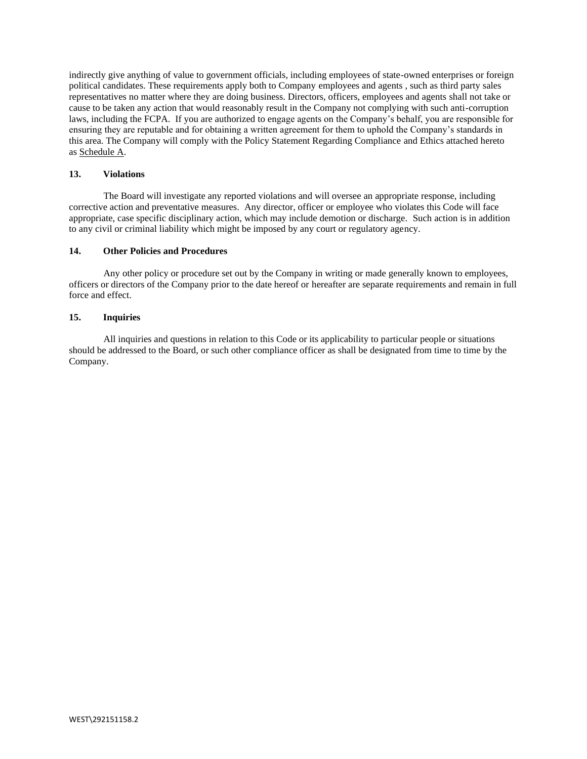indirectly give anything of value to government officials, including employees of state-owned enterprises or foreign political candidates. These requirements apply both to Company employees and agents , such as third party sales representatives no matter where they are doing business. Directors, officers, employees and agents shall not take or cause to be taken any action that would reasonably result in the Company not complying with such anti-corruption laws, including the FCPA. If you are authorized to engage agents on the Company's behalf, you are responsible for ensuring they are reputable and for obtaining a written agreement for them to uphold the Company's standards in this area. The Company will comply with the Policy Statement Regarding Compliance and Ethics attached hereto as Schedule A.

## **13. Violations**

The Board will investigate any reported violations and will oversee an appropriate response, including corrective action and preventative measures. Any director, officer or employee who violates this Code will face appropriate, case specific disciplinary action, which may include demotion or discharge. Such action is in addition to any civil or criminal liability which might be imposed by any court or regulatory agency.

### **14. Other Policies and Procedures**

Any other policy or procedure set out by the Company in writing or made generally known to employees, officers or directors of the Company prior to the date hereof or hereafter are separate requirements and remain in full force and effect.

### **15. Inquiries**

All inquiries and questions in relation to this Code or its applicability to particular people or situations should be addressed to the Board, or such other compliance officer as shall be designated from time to time by the Company.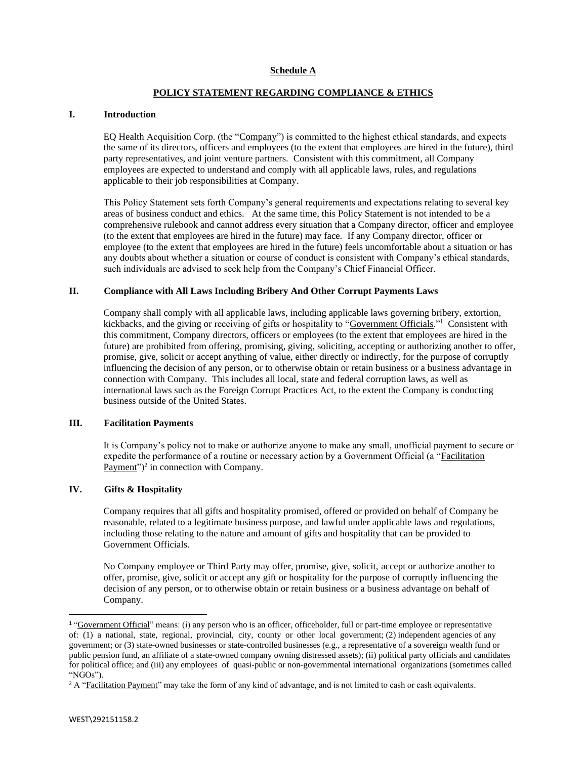# **POLICY STATEMENT REGARDING COMPLIANCE & ETHICS**

## **I. Introduction**

EQ Health Acquisition Corp. (the "Company") is committed to the highest ethical standards, and expects the same of its directors, officers and employees (to the extent that employees are hired in the future), third party representatives, and joint venture partners. Consistent with this commitment, all Company employees are expected to understand and comply with all applicable laws, rules, and regulations applicable to their job responsibilities at Company.

This Policy Statement sets forth Company's general requirements and expectations relating to several key areas of business conduct and ethics. At the same time, this Policy Statement is not intended to be a comprehensive rulebook and cannot address every situation that a Company director, officer and employee (to the extent that employees are hired in the future) may face. If any Company director, officer or employee (to the extent that employees are hired in the future) feels uncomfortable about a situation or has any doubts about whether a situation or course of conduct is consistent with Company's ethical standards, such individuals are advised to seek help from the Company's Chief Financial Officer.

## **II. Compliance with All Laws Including Bribery And Other Corrupt Payments Laws**

Company shall comply with all applicable laws, including applicable laws governing bribery, extortion, kickbacks, and the giving or receiving of gifts or hospitality to "Government Officials."<sup>1</sup> Consistent with this commitment, Company directors, officers or employees (to the extent that employees are hired in the future) are prohibited from offering, promising, giving, soliciting, accepting or authorizing another to offer, promise, give, solicit or accept anything of value, either directly or indirectly, for the purpose of corruptly influencing the decision of any person, or to otherwise obtain or retain business or a business advantage in connection with Company. This includes all local, state and federal corruption laws, as well as international laws such as the Foreign Corrupt Practices Act, to the extent the Company is conducting business outside of the United States.

### **III. Facilitation Payments**

It is Company's policy not to make or authorize anyone to make any small, unofficial payment to secure or expedite the performance of a routine or necessary action by a Government Official (a "Facilitation Payment")<sup>2</sup> in connection with Company.

# **IV. Gifts & Hospitality**

Company requires that all gifts and hospitality promised, offered or provided on behalf of Company be reasonable, related to a legitimate business purpose, and lawful under applicable laws and regulations, including those relating to the nature and amount of gifts and hospitality that can be provided to Government Officials.

No Company employee or Third Party may offer, promise, give, solicit, accept or authorize another to offer, promise, give, solicit or accept any gift or hospitality for the purpose of corruptly influencing the decision of any person, or to otherwise obtain or retain business or a business advantage on behalf of Company.

<sup>1</sup> "Government Official" means: (i) any person who is an officer, officeholder, full or part-time employee or representative of: (1) a national, state, regional, provincial, city, county or other local government; (2) independent agencies of any government; or (3) state-owned businesses or state-controlled businesses (e.g., a representative of a sovereign wealth fund or public pension fund, an affiliate of a state-owned company owning distressed assets); (ii) political party officials and candidates for political office; and (iii) any employees of quasi-public or non-governmental international organizations (sometimes called "NGOs").

<sup>&</sup>lt;sup>2</sup> A "Facilitation Payment" may take the form of any kind of advantage, and is not limited to cash or cash equivalents.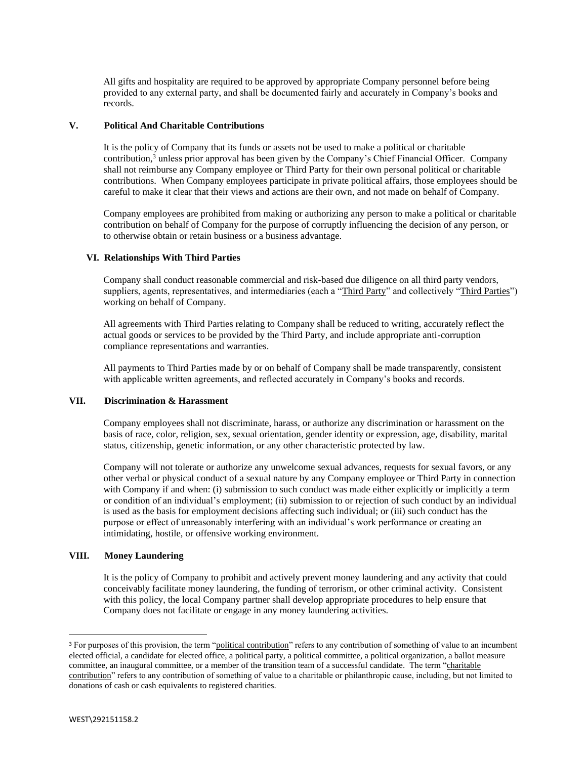All gifts and hospitality are required to be approved by appropriate Company personnel before being provided to any external party, and shall be documented fairly and accurately in Company's books and records.

## **V. Political And Charitable Contributions**

It is the policy of Company that its funds or assets not be used to make a political or charitable contribution, $3$  unless prior approval has been given by the Company's Chief Financial Officer. Company shall not reimburse any Company employee or Third Party for their own personal political or charitable contributions. When Company employees participate in private political affairs, those employees should be careful to make it clear that their views and actions are their own, and not made on behalf of Company.

Company employees are prohibited from making or authorizing any person to make a political or charitable contribution on behalf of Company for the purpose of corruptly influencing the decision of any person, or to otherwise obtain or retain business or a business advantage.

# **VI. Relationships With Third Parties**

Company shall conduct reasonable commercial and risk-based due diligence on all third party vendors, suppliers, agents, representatives, and intermediaries (each a "Third Party" and collectively "Third Parties") working on behalf of Company.

All agreements with Third Parties relating to Company shall be reduced to writing, accurately reflect the actual goods or services to be provided by the Third Party, and include appropriate anti-corruption compliance representations and warranties.

All payments to Third Parties made by or on behalf of Company shall be made transparently, consistent with applicable written agreements, and reflected accurately in Company's books and records.

# **VII. Discrimination & Harassment**

Company employees shall not discriminate, harass, or authorize any discrimination or harassment on the basis of race, color, religion, sex, sexual orientation, gender identity or expression, age, disability, marital status, citizenship, genetic information, or any other characteristic protected by law.

Company will not tolerate or authorize any unwelcome sexual advances, requests for sexual favors, or any other verbal or physical conduct of a sexual nature by any Company employee or Third Party in connection with Company if and when: (i) submission to such conduct was made either explicitly or implicitly a term or condition of an individual's employment; (ii) submission to or rejection of such conduct by an individual is used as the basis for employment decisions affecting such individual; or (iii) such conduct has the purpose or effect of unreasonably interfering with an individual's work performance or creating an intimidating, hostile, or offensive working environment.

### **VIII. Money Laundering**

It is the policy of Company to prohibit and actively prevent money laundering and any activity that could conceivably facilitate money laundering, the funding of terrorism, or other criminal activity. Consistent with this policy, the local Company partner shall develop appropriate procedures to help ensure that Company does not facilitate or engage in any money laundering activities.

<sup>&</sup>lt;sup>3</sup> For purposes of this provision, the term "political contribution" refers to any contribution of something of value to an incumbent elected official, a candidate for elected office, a political party, a political committee, a political organization, a ballot measure committee, an inaugural committee, or a member of the transition team of a successful candidate. The term "charitable contribution" refers to any contribution of something of value to a charitable or philanthropic cause, including, but not limited to donations of cash or cash equivalents to registered charities.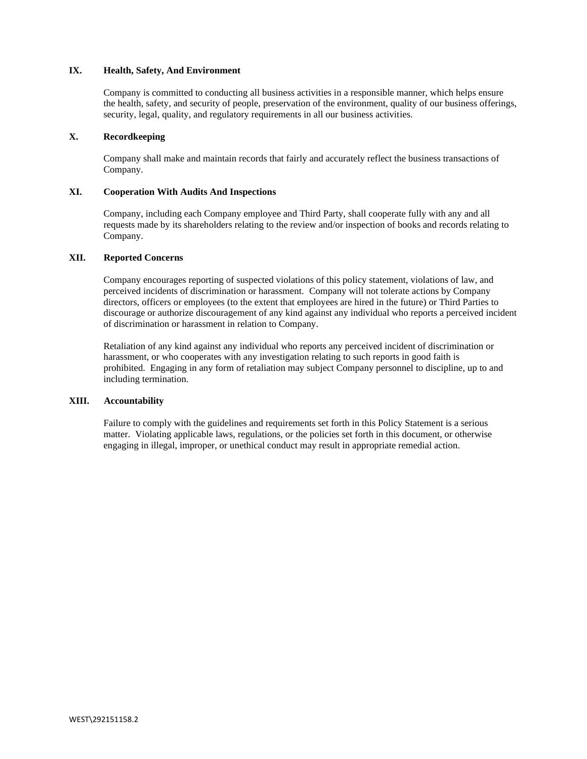# **IX. Health, Safety, And Environment**

Company is committed to conducting all business activities in a responsible manner, which helps ensure the health, safety, and security of people, preservation of the environment, quality of our business offerings, security, legal, quality, and regulatory requirements in all our business activities.

## **X. Recordkeeping**

Company shall make and maintain records that fairly and accurately reflect the business transactions of Company.

## **XI. Cooperation With Audits And Inspections**

Company, including each Company employee and Third Party, shall cooperate fully with any and all requests made by its shareholders relating to the review and/or inspection of books and records relating to Company.

### **XII. Reported Concerns**

Company encourages reporting of suspected violations of this policy statement, violations of law, and perceived incidents of discrimination or harassment. Company will not tolerate actions by Company directors, officers or employees (to the extent that employees are hired in the future) or Third Parties to discourage or authorize discouragement of any kind against any individual who reports a perceived incident of discrimination or harassment in relation to Company.

Retaliation of any kind against any individual who reports any perceived incident of discrimination or harassment, or who cooperates with any investigation relating to such reports in good faith is prohibited. Engaging in any form of retaliation may subject Company personnel to discipline, up to and including termination.

### **XIII. Accountability**

Failure to comply with the guidelines and requirements set forth in this Policy Statement is a serious matter. Violating applicable laws, regulations, or the policies set forth in this document, or otherwise engaging in illegal, improper, or unethical conduct may result in appropriate remedial action.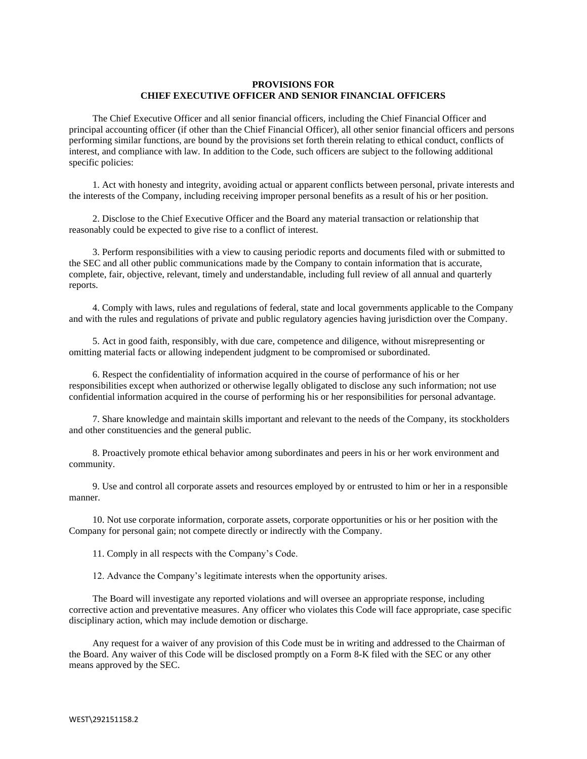# **PROVISIONS FOR CHIEF EXECUTIVE OFFICER AND SENIOR FINANCIAL OFFICERS**

The Chief Executive Officer and all senior financial officers, including the Chief Financial Officer and principal accounting officer (if other than the Chief Financial Officer), all other senior financial officers and persons performing similar functions, are bound by the provisions set forth therein relating to ethical conduct, conflicts of interest, and compliance with law. In addition to the Code, such officers are subject to the following additional specific policies:

1. Act with honesty and integrity, avoiding actual or apparent conflicts between personal, private interests and the interests of the Company, including receiving improper personal benefits as a result of his or her position.

2. Disclose to the Chief Executive Officer and the Board any material transaction or relationship that reasonably could be expected to give rise to a conflict of interest.

3. Perform responsibilities with a view to causing periodic reports and documents filed with or submitted to the SEC and all other public communications made by the Company to contain information that is accurate, complete, fair, objective, relevant, timely and understandable, including full review of all annual and quarterly reports.

4. Comply with laws, rules and regulations of federal, state and local governments applicable to the Company and with the rules and regulations of private and public regulatory agencies having jurisdiction over the Company.

5. Act in good faith, responsibly, with due care, competence and diligence, without misrepresenting or omitting material facts or allowing independent judgment to be compromised or subordinated.

6. Respect the confidentiality of information acquired in the course of performance of his or her responsibilities except when authorized or otherwise legally obligated to disclose any such information; not use confidential information acquired in the course of performing his or her responsibilities for personal advantage.

7. Share knowledge and maintain skills important and relevant to the needs of the Company, its stockholders and other constituencies and the general public.

8. Proactively promote ethical behavior among subordinates and peers in his or her work environment and community.

9. Use and control all corporate assets and resources employed by or entrusted to him or her in a responsible manner.

10. Not use corporate information, corporate assets, corporate opportunities or his or her position with the Company for personal gain; not compete directly or indirectly with the Company.

11. Comply in all respects with the Company's Code.

12. Advance the Company's legitimate interests when the opportunity arises.

The Board will investigate any reported violations and will oversee an appropriate response, including corrective action and preventative measures. Any officer who violates this Code will face appropriate, case specific disciplinary action, which may include demotion or discharge.

Any request for a waiver of any provision of this Code must be in writing and addressed to the Chairman of the Board. Any waiver of this Code will be disclosed promptly on a Form 8-K filed with the SEC or any other means approved by the SEC.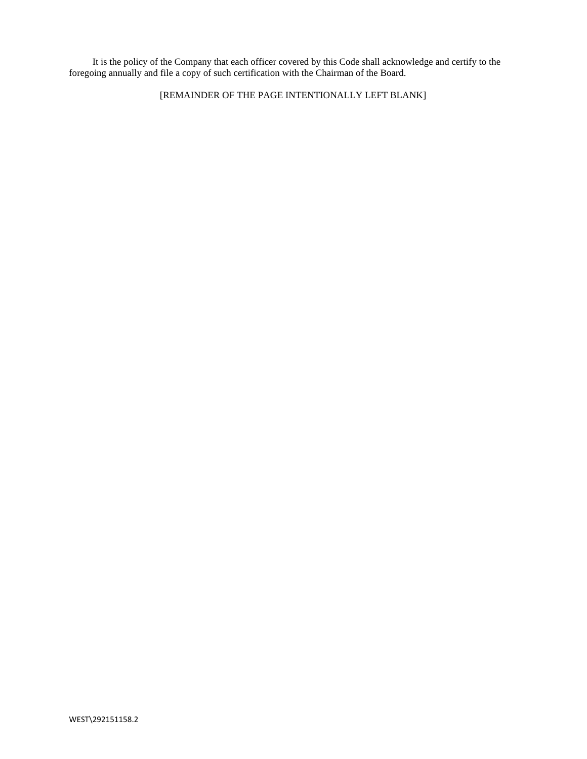It is the policy of the Company that each officer covered by this Code shall acknowledge and certify to the foregoing annually and file a copy of such certification with the Chairman of the Board.

[REMAINDER OF THE PAGE INTENTIONALLY LEFT BLANK]